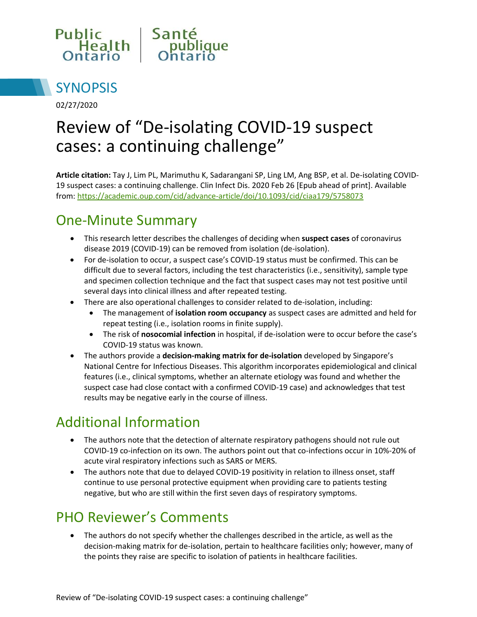



02/27/2020

# Review of "De-isolating COVID-19 suspect cases: a continuing challenge"

**Article citation:** Tay J, Lim PL, Marimuthu K, Sadarangani SP, Ling LM, Ang BSP, et al. De-isolating COVID-19 suspect cases: a continuing challenge. Clin Infect Dis. 2020 Feb 26 [Epub ahead of print]. Available from:<https://academic.oup.com/cid/advance-article/doi/10.1093/cid/ciaa179/5758073>

## One-Minute Summary

- This research letter describes the challenges of deciding when **suspect cases** of coronavirus disease 2019 (COVID-19) can be removed from isolation (de-isolation).
- For de-isolation to occur, a suspect case's COVID-19 status must be confirmed. This can be difficult due to several factors, including the test characteristics (i.e., sensitivity), sample type and specimen collection technique and the fact that suspect cases may not test positive until several days into clinical illness and after repeated testing.
- There are also operational challenges to consider related to de-isolation, including:
	- The management of **isolation room occupancy** as suspect cases are admitted and held for repeat testing (i.e., isolation rooms in finite supply).
	- The risk of **nosocomial infection** in hospital, if de-isolation were to occur before the case's COVID-19 status was known.
- The authors provide a **decision-making matrix for de-isolation** developed by Singapore's National Centre for Infectious Diseases. This algorithm incorporates epidemiological and clinical features (i.e., clinical symptoms, whether an alternate etiology was found and whether the suspect case had close contact with a confirmed COVID-19 case) and acknowledges that test results may be negative early in the course of illness.

## Additional Information

- The authors note that the detection of alternate respiratory pathogens should not rule out COVID-19 co-infection on its own. The authors point out that co-infections occur in 10%-20% of acute viral respiratory infections such as SARS or MERS.
- The authors note that due to delayed COVID-19 positivity in relation to illness onset, staff continue to use personal protective equipment when providing care to patients testing negative, but who are still within the first seven days of respiratory symptoms.

#### PHO Reviewer's Comments

• The authors do not specify whether the challenges described in the article, as well as the decision-making matrix for de-isolation, pertain to healthcare facilities only; however, many of the points they raise are specific to isolation of patients in healthcare facilities.